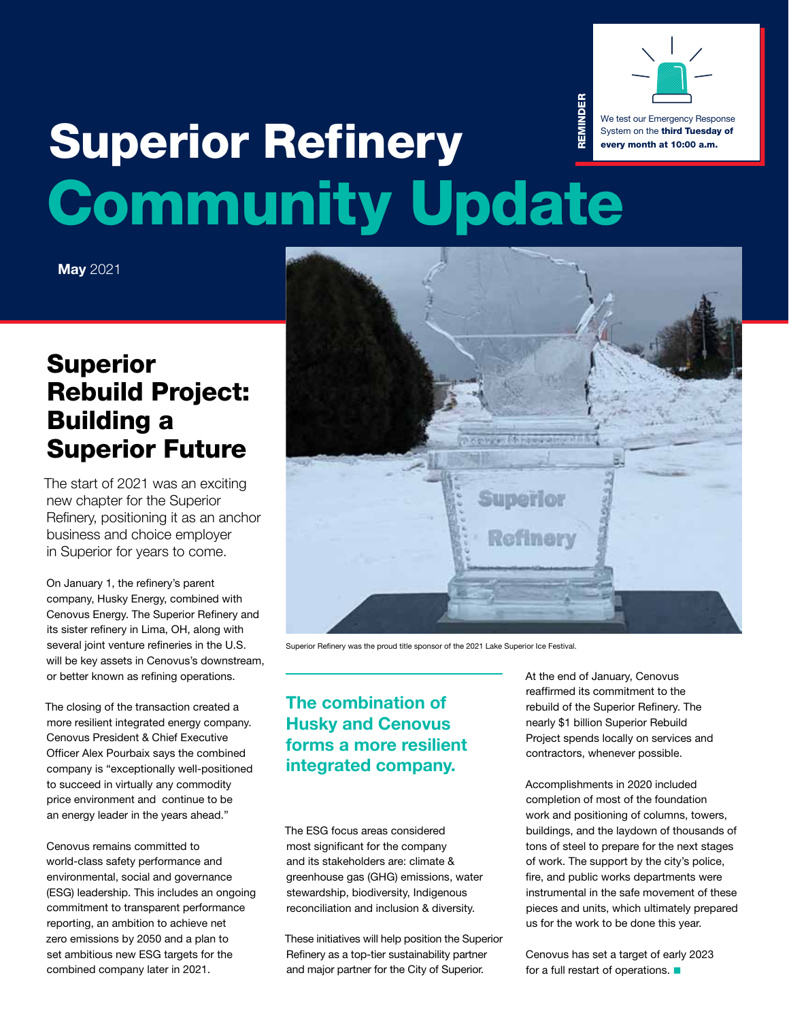

#### REMINDER REMINDEI We test our Emergency Response **Superior Refinery** System on the third Tuesday of **residents they support in**  NHAM DA every month at 10:00 a.m. **northwestern Wisconsin**  the residents they support in northwestern Wisconsin are at a crisis stage." **are at a crisis stage.** Community Update **INDIANALLY SPULLY**

**May** 2021

#### In particular, forward-looking statements include, but are not limited to, references to: general strategic plans and growth strategies; the expected timing of the commencement of rebuild activities and the resumption of operations at the Superior Refinery; enhancements to be made to the refinery and the benefits to be received as a result thereof; the expected number of jobs to be created during peak construction; the intended use of local contractors and services during the rebuild; the slate of products expected to be produced at the refinery; and the use of industry-leading safety systems and protocols and the expected results thereof. Although Husky Energy Inc. (the expectations reflected by the formations reflected by the formations reflected by the forward-looking statements are reasonable, they have been based on  $\alpha$ assumptions and factors concerning future events that may prove to be inaccurate. Those assumptions and factors are based on information currently available to the Company about itself and the businesses in which it operates. Information used in developing forward-looking statements has been acquired from various sources, including the party consultants, suppliers and regulators, and regulators, and regulators, among others. Because actual results or outcomes could differ materially from those expressed in any forward-looking statement, investors should not place undue reliance on any such forward-looking statements involve numerous assumptions, inherent risks and uncertainties, inherent r and specific, which contribute to the possibility that the predicted outcomes and other factors are similar to the predicted outcomes  $\alpha$ Information Line: 715-718-8585 faced by other oil and gas companies and some are unique to the Company. The Company's Annual Information Form for the year ended December 31, 2019 and other documents filed with securities regulatory and other documents filed with securities regulatory and authorities regulatory and authoritie the SEDAR website (www.sedar.com) and the EDGAR website (www.sec.gov) and other factors that could influence r actual results and are incorporated herein by reference. New factors emergent to time and it is not possible for management to possible for management to predict all of factor on the Company's business or the extent to which any factors, may cause actual results to differ material in any formar delta statement. The impact of any one factor on a particular formar for a particular formar for are dependent upon other factors, and the Company's course of action would depend upon management of the future considering all information would depend upon management of the future considering all informations of the fut available to it at the relevant time. Any forward-looking statement speaks only as of the date on which such statement is made and, except as required by applicable securities laws, the Company undertakes no obligation to update any forward-looking statement to reflect events or circumstances after the date on circumstances after the date on circumstances after the date on which such statement is made or to reflect the occurrence of unanticipated events. **Superlor Refinery** Since resuming construction in the Refinery, much has been accomplished, including pouring foundation footings.

Superior Refinery was the proud title sponsor of the 2021 Lake Superior Ice Festival.

### **From a safety and quality perspective perspectively proper Husky and Cenovus forms a more resilient**<br>. . . . . . . . **integrated company.**

The ESG focus areas considered most significant for the company and its stakeholders are: climate & greenhouse gas (GHG) emissions, water stewardship, biodiversity, Indigenous reconciliation and inclusion & diversity.

These initiatives will help position the Superior Refinery as a top-tier sustainability partner and major partner for the City of Superior.

At the end of January, Cenovus reaffirmed its commitment to the rebuild of the Superior Refinery. The nearly \$1 billion Superior Rebuild Project spends locally on services and contractors, whenever possible.

Accomplishments in 2020 included completion of most of the foundation work and positioning of columns, towers, buildings, and the laydown of thousands of tons of steel to prepare for the next stages of work. The support by the city's police, fire, and public works departments were instrumental in the safe movement of these pieces and units, which ultimately prepared us for the work to be done this year.

Cenovus has set a target of early 2023 for a full restart of operations.  $\blacksquare$ 

### **Rebuild Project: Building a Superior Future superior.refinery@huskyenergy.com**  Rebuild Project: Superior

The start of 2021 was an exciting Refinery, positioning it as an anchor business and choice employer in Superior for years to come. new chapter for the Superior

On January 1, the refinery's parent company, Husky Energy, combined with Cenovus Energy. The Superior Refinery and several joint venture refineries in the U.S. will be key assets in Cenovus's downstream,  $\sim$  bether tracting as refining approximations. or better known as refining operations. its sister refinery in Lima, OH, along with

The closing of the transaction created a the elements of the transaction election at more resilient integrated energy company. Cenovus President & Chief Executive<br>Cenovus President & Chief Executive Officer Alex Pourbaix says the combined to succeed in virtually any commodity price environment and continue to be received the required permits to be a permit of the required permit  $\theta$ an energy leader in the years ahead." company is "exceptionally well-positioned

Cenovus remains committed to behoves remains sommitted to<br>world-class safety performance and  $m$ ond-dias salely performance and  $m$ environmental, social and governance (ESG) leadership. This includes an ongoing commitment to transparent performance  $\frac{3}{2}$  zero emissions by 2050 and a plan to set ambitious new ESG targets for the commissioning and start-up engineer. combined company later in 2021. reporting, an ambition to achieve net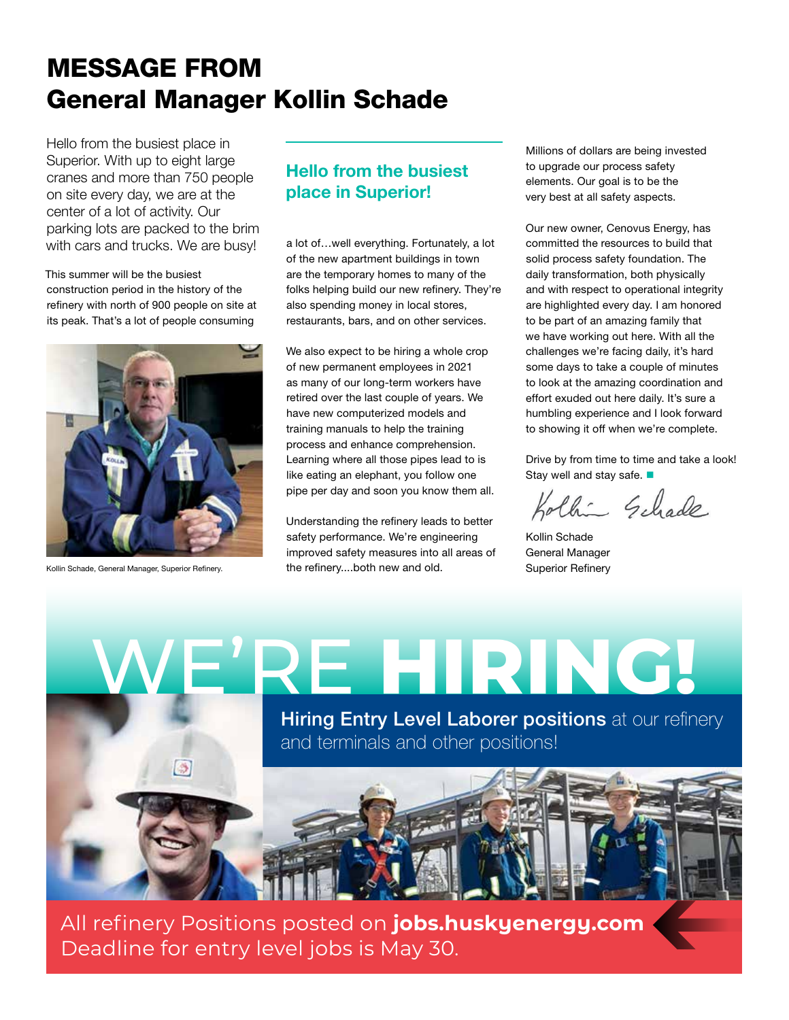# MESSAGE FROM General Manager Kollin Schade

Hello from the busiest place in Superior. With up to eight large cranes and more than 750 people on site every day, we are at the center of a lot of activity. Our parking lots are packed to the brim with cars and trucks. We are busy!

This summer will be the busiest construction period in the history of the refinery with north of 900 people on site at its peak. That's a lot of people consuming



Kollin Schade, General Manager, Superior Refinery.

 $\rightarrow$ 

## **Hello from the busiest place in Superior!**

a lot of…well everything. Fortunately, a lot of the new apartment buildings in town are the temporary homes to many of the folks helping build our new refinery. They're also spending money in local stores, restaurants, bars, and on other services.

We also expect to be hiring a whole crop of new permanent employees in 2021 as many of our long-term workers have retired over the last couple of years. We have new computerized models and training manuals to help the training process and enhance comprehension. Learning where all those pipes lead to is like eating an elephant, you follow one pipe per day and soon you know them all.

Understanding the refinery leads to better safety performance. We're engineering improved safety measures into all areas of the refinery....both new and old.

Millions of dollars are being invested to upgrade our process safety elements. Our goal is to be the very best at all safety aspects.

Our new owner, Cenovus Energy, has committed the resources to build that solid process safety foundation. The daily transformation, both physically and with respect to operational integrity are highlighted every day. I am honored to be part of an amazing family that we have working out here. With all the challenges we're facing daily, it's hard some days to take a couple of minutes to look at the amazing coordination and effort exuded out here daily. It's sure a humbling experience and I look forward to showing it off when we're complete.

Drive by from time to time and take a look! Stay well and stay safe.  $\blacksquare$ 

Chin Gehade

Kollin Schade General Manager Superior Refinery

WE'RE **[HIRING!](http://jobs.huskyenergy.com/)**

**Hiring Entry Level Laborer positions** at our refinery and terminals and other positions!

All refinery Positions posted on **jobs.huskyenergy.com** Deadline for entry level jobs is May 30.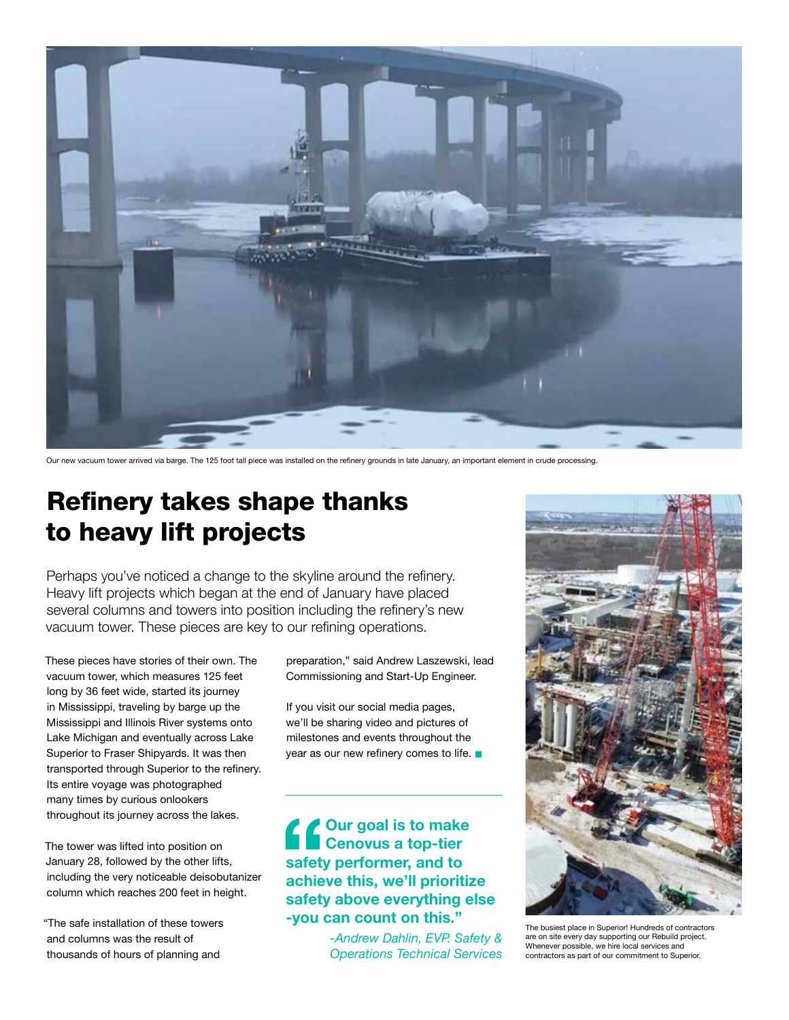

Our new vacuum tower arrived via barge. The 125 foot tall piece was installed on the refinery grounds in late January, an important element in crude processing.

## Refinery takes shape thanks to heavy lift projects

Perhaps you've noticed a change to the skyline around the refinery. Heavy lift projects which began at the end of January have placed several columns and towers into position including the refinery's new vacuum tower. These pieces are key to our refining operations.

These pieces have stories of their own. The vacuum tower, which measures 125 feet long by 36 feet wide, started its journey in Mississippi, traveling by barge up the Mississippi and Illinois River systems onto Lake Michigan and eventually across Lake Superior to Fraser Shipyards. It was then transported through Superior to the refinery. Its entire voyage was photographed many times by curious onlookers throughout its journey across the lakes.

The tower was lifted into position on January 28, followed by the other lifts, including the very noticeable deisobutanizer column which reaches 200 feet in height.

"The safe installation of these towers and columns was the result of thousands of hours of planning and

preparation," said Andrew Laszewski, lead Commissioning and Start-Up Engineer.

If you visit our social media pages, we'll be sharing video and pictures of milestones and events throughout the year as our new refinery comes to life.  $\blacksquare$ 

### **Pour goal is to make<br>
<b>Cenovus a top-tier**<br>
safety performer, and to<br>
achieve this, we'll prioritiz<br>
safety above everything e **Cenovus a top-tier safety performer, and to achieve this, we'll prioritize safety above everything else -you can count on this."**

*-Andrew Dahlin, EVP. Safety & Operations Technical Services*



The busiest place in Superior! Hundreds of contractors are on site every day supporting our Rebuild project. Whenever possible, we hire local services and contractors as part of our commitment to Superior.